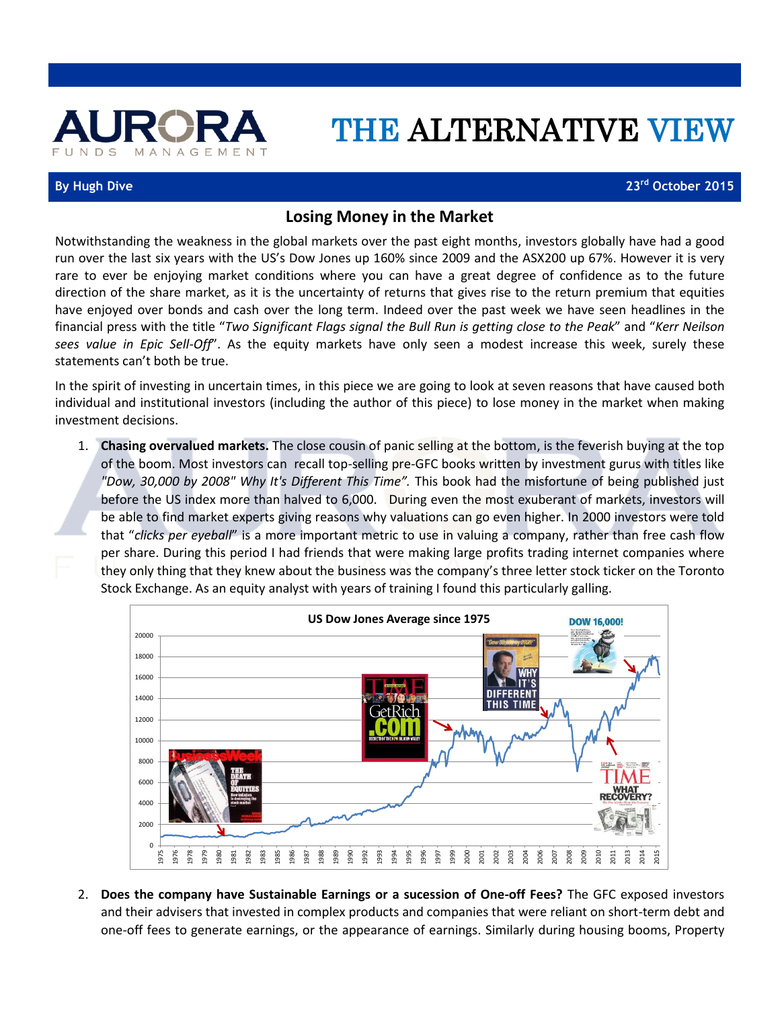

## THE ALTERNATIVE VIEW

## **By Hugh Dive 23rd October 2015**

## **Losing Money in the Market**

Notwithstanding the weakness in the global markets over the past eight months, investors globally have had a good run over the last six years with the US's Dow Jones up 160% since 2009 and the ASX200 up 67%. However it is very rare to ever be enjoying market conditions where you can have a great degree of confidence as to the future direction of the share market, as it is the uncertainty of returns that gives rise to the return premium that equities have enjoyed over bonds and cash over the long term. Indeed over the past week we have seen headlines in the financial press with the title "*Two Significant Flags signal the Bull Run is getting close to the Peak*" and "*Kerr Neilson sees value in Epic Sell-Off*". As the equity markets have only seen a modest increase this week, surely these statements can't both be true.

In the spirit of investing in uncertain times, in this piece we are going to look at seven reasons that have caused both individual and institutional investors (including the author of this piece) to lose money in the market when making investment decisions.

1. **Chasing overvalued markets.** The close cousin of panic selling at the bottom, is the feverish buying at the top of the boom. Most investors can recall top-selling pre-GFC books written by investment gurus with titles like *"Dow, 30,000 by 2008" Why It's Different This Time".* This book had the misfortune of being published just before the US index more than halved to 6,000. During even the most exuberant of markets, investors will be able to find market experts giving reasons why valuations can go even higher. In 2000 investors were told that "*clicks per eyeball*" is a more important metric to use in valuing a company, rather than free cash flow per share. During this period I had friends that were making large profits trading internet companies where they only thing that they knew about the business was the company's three letter stock ticker on the Toronto Stock Exchange. As an equity analyst with years of training I found this particularly galling.



2. **Does the company have Sustainable Earnings or a sucession of One-off Fees?** The GFC exposed investors and their advisers that invested in complex products and companies that were reliant on short-term debt and one-off fees to generate earnings, or the appearance of earnings. Similarly during housing booms, Property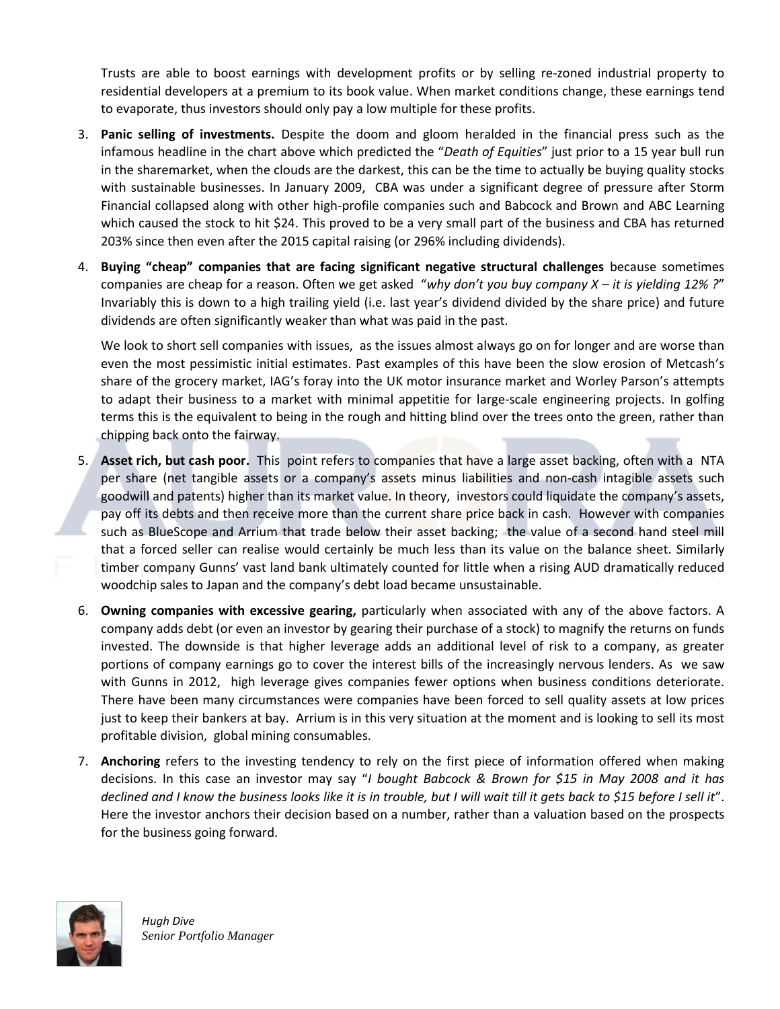Trusts are able to boost earnings with development profits or by selling re-zoned industrial property to residential developers at a premium to its book value. When market conditions change, these earnings tend to evaporate, thus investors should only pay a low multiple for these profits.

- 3. **Panic selling of investments.** Despite the doom and gloom heralded in the financial press such as the infamous headline in the chart above which predicted the "*Death of Equities*" just prior to a 15 year bull run in the sharemarket, when the clouds are the darkest, this can be the time to actually be buying quality stocks with sustainable businesses. In January 2009, CBA was under a significant degree of pressure after Storm Financial collapsed along with other high-profile companies such and Babcock and Brown and ABC Learning which caused the stock to hit \$24. This proved to be a very small part of the business and CBA has returned 203% since then even after the 2015 capital raising (or 296% including dividends).
- 4. **Buying "cheap" companies that are facing significant negative structural challenges** because sometimes companies are cheap for a reason. Often we get asked "*why don't you buy company X – it is yielding 12% ?*" Invariably this is down to a high trailing yield (i.e. last year's dividend divided by the share price) and future dividends are often significantly weaker than what was paid in the past.

We look to short sell companies with issues, as the issues almost always go on for longer and are worse than even the most pessimistic initial estimates. Past examples of this have been the slow erosion of Metcash's share of the grocery market, IAG's foray into the UK motor insurance market and Worley Parson's attempts to adapt their business to a market with minimal appetitie for large-scale engineering projects. In golfing terms this is the equivalent to being in the rough and hitting blind over the trees onto the green, rather than chipping back onto the fairway.

- 5. **Asset rich, but cash poor.** This point refers to companies that have a large asset backing, often with a NTA per share (net tangible assets or a company's assets minus liabilities and non-cash intagible assets such goodwill and patents) higher than its market value. In theory, investors could liquidate the company's assets, pay off its debts and then receive more than the current share price back in cash. However with companies such as BlueScope and Arrium that trade below their asset backing; the value of a second hand steel mill that a forced seller can realise would certainly be much less than its value on the balance sheet. Similarly timber company Gunns' vast land bank ultimately counted for little when a rising AUD dramatically reduced woodchip sales to Japan and the company's debt load became unsustainable.
- 6. **Owning companies with excessive gearing,** particularly when associated with any of the above factors. A company adds debt (or even an investor by gearing their purchase of a stock) to magnify the returns on funds invested. The downside is that higher leverage adds an additional level of risk to a company, as greater portions of company earnings go to cover the interest bills of the increasingly nervous lenders. As we saw with Gunns in 2012, high leverage gives companies fewer options when business conditions deteriorate. There have been many circumstances were companies have been forced to sell quality assets at low prices just to keep their bankers at bay. Arrium is in this very situation at the moment and is looking to sell its most profitable division, global mining consumables.
- 7. **Anchoring** refers to the investing tendency to rely on the first piece of information offered when making decisions. In this case an investor may say "*I bought Babcock & Brown for \$15 in May 2008 and it has declined and I know the business looks like it is in trouble, but I will wait till it gets back to \$15 before I sell it*". Here the investor anchors their decision based on a number, rather than a valuation based on the prospects for the business going forward.